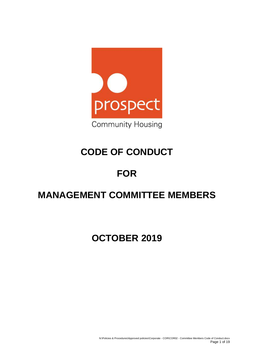

# **CODE OF CONDUCT**

## **FOR**

## **MANAGEMENT COMMITTEE MEMBERS**

## **OCTOBER 2019**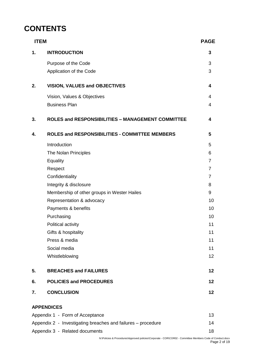## **CONTENTS**

| <b>ITEM</b>                                                  |                                                          |                 |
|--------------------------------------------------------------|----------------------------------------------------------|-----------------|
| 1.                                                           | <b>INTRODUCTION</b>                                      | 3               |
|                                                              | Purpose of the Code                                      | 3               |
|                                                              | Application of the Code                                  | 3               |
|                                                              |                                                          |                 |
| 2.                                                           | <b>VISION, VALUES and OBJECTIVES</b>                     | 4               |
|                                                              | Vision, Values & Objectives                              | 4               |
|                                                              | <b>Business Plan</b>                                     | 4               |
| 3.                                                           | <b>ROLES and RESPONSIBILITIES - MANAGEMENT COMMITTEE</b> | 4               |
| 4.                                                           | <b>ROLES and RESPONSIBILITIES - COMMITTEE MEMBERS</b>    | 5               |
|                                                              | Introduction                                             | 5               |
|                                                              | The Nolan Principles                                     | 6               |
|                                                              | Equality                                                 | $\overline{7}$  |
|                                                              | Respect                                                  | 7               |
|                                                              | Confidentiality                                          | 7               |
|                                                              | Integrity & disclosure                                   | 8               |
|                                                              | Membership of other groups in Wester Hailes              | 9               |
|                                                              | Representation & advocacy                                | 10              |
|                                                              | Payments & benefits                                      | 10              |
|                                                              | Purchasing                                               | 10              |
|                                                              | Political activity                                       | 11              |
|                                                              | Gifts & hospitality                                      | 11              |
|                                                              | Press & media                                            | 11              |
|                                                              | Social media                                             | 11              |
|                                                              | Whistleblowing                                           | 12 <sub>2</sub> |
| 5.                                                           | <b>BREACHES and FAILURES</b>                             | 12              |
| 6.                                                           | <b>POLICIES and PROCEDURES</b>                           | 12              |
| 7.                                                           | <b>CONCLUSION</b>                                        | 12              |
|                                                              | <b>APPENDICES</b>                                        |                 |
|                                                              | Appendix 1 - Form of Acceptance                          | 13              |
| Appendix 2 - Investigating breaches and failures – procedure |                                                          |                 |
|                                                              | Appendix 3 - Related documents                           | 18              |

N:\Policies & Procedures\Approved policies\Corporate - COR\COR02 - Committee Members Code of Conduct.docx Page 2 of 19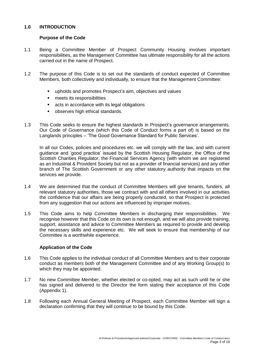## **1.0 INTRODUCTION**

#### **Purpose of the Code**

- 1.1 Being a Committee Member of Prospect Community Housing involves important responsibilities, as the Management Committee has ultimate responsibility for all the actions carried out in the name of Prospect.
- 1.2 The purpose of this Code is to set out the standards of conduct expected of Committee Members, both collectively and individually, to ensure that the Management Committee:
	- upholds and promotes Prospect's aim, objectives and values
	- meets its responsibilities
	- acts in accordance with its legal obligations
	- observes high ethical standards.
- 1.3 This Code seeks to ensure the highest standards in Prospect's governance arrangements. Our Code of Governance (which this Code of Conduct forms a part of) is based on the Langlands principles – 'The Good Governance Standard for Public Services'.

In all our Codes, policies and procedures etc. we will comply with the law, and with current guidance and 'good practice' issued by the Scottish Housing Regulator, the Office of the Scottish Charities Regulator, the Financial Services Agency (with whom we are registered as an Industrial & Provident Society but not as a provider of financial services) and any other branch of The Scottish Government or any other statutory authority that impacts on the services we provide.

- 1.4 We are determined that the conduct of Committee Members will give tenants, funders, all relevant statutory authorities, those we contract with and all others involved in our activities the confidence that our affairs are being properly conducted, so that Prospect is protected from any suggestion that our actions are influenced by improper motives.
- 1.5 This Code aims to help Committee Members in discharging their responsibilities. We recognise however that this Code on its own is not enough, and we will also provide training, support, assistance and advice to Committee Members as required to provide and develop the necessary skills and experience etc. We will seek to ensure that membership of our Committee is a worthwhile experience.

#### **Application of the Code**

- 1.6 This Code applies to the individual conduct of all Committee Members and to their corporate conduct as members both of the Management Committee and of any Working Group(s) to which they may be appointed.
- 1.7 No new Committee Member, whether elected or co-opted, may act as such until he or she has signed and delivered to the Director the form stating their acceptance of this Code (Appendix 1).
- 1.8 Following each Annual General Meeting of Prospect, each Committee Member will sign a declaration confirming that they will continue to be bound by this Code.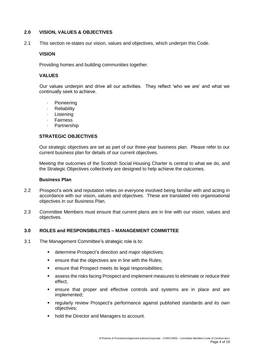## **2.0 VISION, VALUES & OBJECTIVES**

2.1 This section re-states our vision, values and objectives, which underpin this Code.

#### **VISION**

Providing homes and building communities together.

#### **VALUES**

Our values underpin and drive all our activities. They reflect 'who we are' and what we continually seek to achieve.

- Pioneering
- **Reliability**
- Listening
- Fairness
- **Partnership**

#### **STRATEGIC OBJECTIVES**

Our strategic objectives are set as part of our three-year business plan. Please refer to our current business plan for details of our current objectives.

Meeting the outcomes of the Scottish Social Housing Charter is central to what we do, and the Strategic Objectives collectively are designed to help achieve the outcomes.

#### **Business Plan**

- 2.2 Prospect's work and reputation relies on everyone involved being familiar with and acting in accordance with our vision, values and objectives. These are translated into organisational objectives in our Business Plan.
- 2.3 Committee Members must ensure that current plans are in line with our vision, values and objectives.

#### **3.0 ROLES and RESPONSIBILITIES – MANAGEMENT COMMITTEE**

- 3.1 The Management Committee's strategic role is to:
	- determine Prospect's direction and major objectives;
	- ensure that the objectives are in line with the Rules;
	- ensure that Prospect meets its legal responsibilities;
	- **E** assess the risks facing Prospect and implement measures to eliminate or reduce their effect;
	- ensure that proper and effective controls and systems are in place and are implemented;
	- regularly review Prospect's performance against published standards and its own objectives;
	- hold the Director and Managers to account.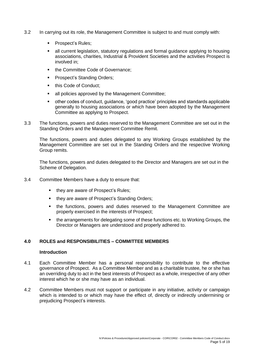- 3.2 In carrying out its role, the Management Committee is subject to and must comply with:
	- Prospect's Rules;
	- **E** all current legislation, statutory regulations and formal guidance applying to housing associations, charities, Industrial & Provident Societies and the activities Prospect is involved in;
	- the Committee Code of Governance:
	- Prospect's Standing Orders;
	- this Code of Conduct:
	- all policies approved by the Management Committee;
	- other codes of conduct, guidance, 'good practice' principles and standards applicable generally to housing associations or which have been adopted by the Management Committee as applying to Prospect.
- 3.3 The functions, powers and duties reserved to the Management Committee are set out in the Standing Orders and the Management Committee Remit.

The functions, powers and duties delegated to any Working Groups established by the Management Committee are set out in the Standing Orders and the respective Working Group remits.

The functions, powers and duties delegated to the Director and Managers are set out in the Scheme of Delegation.

- 3.4 Committee Members have a duty to ensure that:
	- they are aware of Prospect's Rules;
	- they are aware of Prospect's Standing Orders;
	- the functions, powers and duties reserved to the Management Committee are properly exercised in the interests of Prospect;
	- the arrangements for delegating some of these functions etc. to Working Groups, the Director or Managers are understood and properly adhered to.

## **4.0 ROLES and RESPONSIBILITIES – COMMITTEE MEMBERS**

#### **Introduction**

- 4.1 Each Committee Member has a personal responsibility to contribute to the effective governance of Prospect. As a Committee Member and as a charitable trustee, he or she has an overriding duty to act in the best interests of Prospect as a whole, irrespective of any other interest which he or she may have as an individual.
- 4.2 Committee Members must not support or participate in any initiative, activity or campaign which is intended to or which may have the effect of, directly or indirectly undermining or prejudicing Prospect's interests.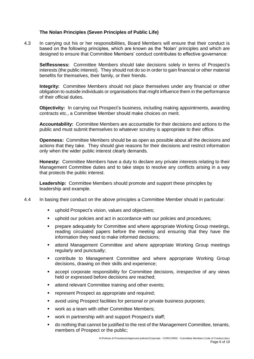#### **The Nolan Principles (Seven Principles of Public Life)**

4.3 In carrying out his or her responsibilities, Board Members will ensure that their conduct is based on the following principles, which are known as the 'Nolan' principles and which are designed to ensure that Committee Members' conduct contributes to effective governance:

**Selflessness:** Committee Members should take decisions solely in terms of Prospect's interests (the public interest). They should not do so in order to gain financial or other material benefits for themselves, their family, or their friends.

**Integrity:** Committee Members should not place themselves under any financial or other obligation to outside individuals or organisations that might influence them in the performance of their official duties.

**Objectivity:** In carrying out Prospect's business, including making appointments, awarding contracts etc., a Committee Member should make choices on merit.

**Accountability:** Committee Members are accountable for their decisions and actions to the public and must submit themselves to whatever scrutiny is appropriate to their office.

**Openness:** Committee Members should be as open as possible about all the decisions and actions that they take. They should give reasons for their decisions and restrict information only when the wider public interest clearly demands.

**Honesty:** Committee Members have a duty to declare any private interests relating to their Management Committee duties and to take steps to resolve any conflicts arising in a way that protects the public interest.

**Leadership:** Committee Members should promote and support these principles by leadership and example.

- 4.4 In basing their conduct on the above principles a Committee Member should in particular:
	- uphold Prospect's vision, values and objectives;
	- uphold our policies and act in accordance with our policies and procedures;
	- prepare adequately for Committee and where appropriate Working Group meetings, reading circulated papers before the meeting and ensuring that they have the information they need to make informed decisions;
	- **■** attend Management Committee and where appropriate Working Group meetings regularly and punctually;
	- contribute to Management Committee and where appropriate Working Group decisions, drawing on their skills and experience;
	- accept corporate responsibility for Committee decisions, irrespective of any views held or expressed before decisions are reached;
	- attend relevant Committee training and other events;
	- **•** represent Prospect as appropriate and required;
	- avoid using Prospect facilities for personal or private business purposes;
	- work as a team with other Committee Members;
	- work in partnership with and support Prospect's staff;
	- do nothing that cannot be justified to the rest of the Management Committee, tenants, members of Prospect or the public;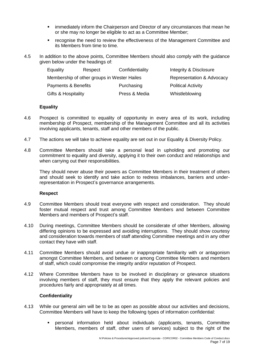- immediately inform the Chairperson and Director of any circumstances that mean he or she may no longer be eligible to act as a Committee Member;
- recognise the need to review the effectiveness of the Management Committee and its Members from time to time.
- 4.5 In addition to the above points, Committee Members should also comply with the guidance given below under the headings of:

| Equality            | Respect                                     | Confidentiality | Integrity & Disclosure    |
|---------------------|---------------------------------------------|-----------------|---------------------------|
|                     | Membership of other groups in Wester Hailes |                 | Representation & Advocacy |
| Payments & Benefits |                                             | Purchasing      | <b>Political Activity</b> |
| Gifts & Hospitality |                                             | Press & Media   | Whistleblowing            |

#### **Equality**

- 4.6 Prospect is committed to equality of opportunity in every area of its work, including membership of Prospect, membership of the Management Committee and all its activities involving applicants, tenants, staff and other members of the public.
- 4.7 The actions we will take to achieve equality are set out in our Equality & Diversity Policy.
- 4.8 Committee Members should take a personal lead in upholding and promoting our commitment to equality and diversity, applying it to their own conduct and relationships and when carrying out their responsibilities.

They should never abuse their powers as Committee Members in their treatment of others and should seek to identify and take action to redress imbalances, barriers and underrepresentation in Prospect's governance arrangements.

#### **Respect**

- 4.9 Committee Members should treat everyone with respect and consideration. They should foster mutual respect and trust among Committee Members and between Committee Members and members of Prospect's staff.
- 4.10 During meetings, Committee Members should be considerate of other Members, allowing differing opinions to be expressed and avoiding interruptions. They should show courtesy and consideration towards members of staff attending Committee meetings and in any other contact they have with staff.
- 4.11 Committee Members should avoid undue or inappropriate familiarity with or antagonism amongst Committee Members, and between or among Committee Members and members of staff, which could compromise the integrity and/or reputation of Prospect.
- 4.12 Where Committee Members have to be involved in disciplinary or grievance situations involving members of staff, they must ensure that they apply the relevant policies and procedures fairly and appropriately at all times.

#### **Confidentiality**

- 4.13 While our general aim will be to be as open as possible about our activities and decisions, Committee Members will have to keep the following types of information confidential:
	- personal information held about individuals (applicants, tenants, Committee Members, members of staff, other users of services) subject to the right of the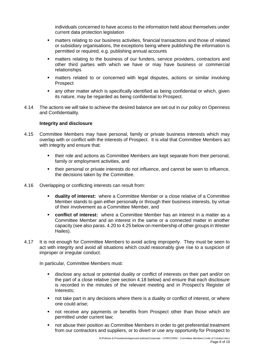individuals concerned to have access to the information held about themselves under current data protection legislation

- matters relating to our business activities, financial transactions and those of related or subsidiary organisations, the exceptions being where publishing the information is permitted or required, e.g. publishing annual accounts
- **•** matters relating to the business of our funders, service providers, contractors and other third parties with which we have or may have business or commercial relationships
- matters related to or concerned with legal disputes, actions or similar involving **Prospect**
- any other matter which is specifically identified as being confidential or which, given its nature, may be regarded as being confidential to Prospect.
- 4.14 The actions we will take to achieve the desired balance are set out in our policy on Openness and Confidentiality.

#### **Integrity and disclosure**

- 4.15 Committee Members may have personal, family or private business interests which may overlap with or conflict with the interests of Prospect. It is vital that Committee Members act with integrity and ensure that:
	- their role and actions as Committee Members are kept separate from their personal, family or employment activities, and
	- their personal or private interests do not influence, and cannot be seen to influence, the decisions taken by the Committee.
- 4.16 Overlapping or conflicting interests can result from:
	- **duality of interest:** where a Committee Member or a close relative of a Committee Member stands to gain either personally or through their business interests, by virtue of their involvement as a Committee Member, and
	- **conflict of interest:** where a Committee Member has an interest in a matter as a Committee Member and an interest in the same or a connected matter in another capacity (see also paras. 4.20 to 4.25 below on membership of other groups in Wester Hailes).
- 4.17 It is not enough for Committee Members to avoid acting improperly. They must be seen to act with integrity and avoid all situations which could reasonably give rise to a suspicion of improper or irregular conduct.

In particular, Committee Members must:

- disclose any actual or potential duality or conflict of interests on their part and/or on the part of a close relative (see section 4.18 below) and ensure that each disclosure is recorded in the minutes of the relevant meeting and in Prospect's Register of Interests;
- not take part in any decisions where there is a duality or conflict of interest, or where one could arise;
- not receive any payments or benefits from Prospect other than those which are permitted under current law;
- not abuse their position as Committee Members in order to get preferential treatment from our contractors and suppliers, or to divert or use any opportunity for Prospect to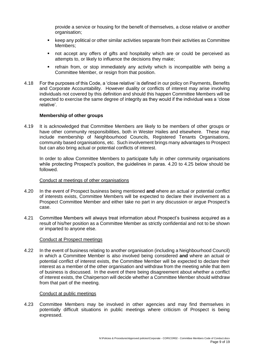provide a service or housing for the benefit of themselves, a close relative or another organisation;

- keep any political or other similar activities separate from their activities as Committee Members;
- not accept any offers of gifts and hospitality which are or could be perceived as attempts to, or likely to influence the decisions they make;
- refrain from, or stop immediately any activity which is incompatible with being a Committee Member, or resign from that position.
- 4.18 For the purposes of this Code, a 'close relative' is defined in our policy on Payments, Benefits and Corporate Accountability. However duality or conflicts of interest may arise involving individuals not covered by this definition and should this happen Committee Members will be expected to exercise the same degree of integrity as they would if the individual was a 'close relative'.

#### **Membership of other groups**

4.19 It is acknowledged that Committee Members are likely to be members of other groups or have other community responsibilities, both in Wester Hailes and elsewhere. These may include membership of Neighbourhood Councils, Registered Tenants Organisations, community based organisations, etc. Such involvement brings many advantages to Prospect but can also bring actual or potential conflicts of interest.

In order to allow Committee Members to participate fully in other community organisations while protecting Prospect's position, the guidelines in paras. 4.20 to 4.25 below should be followed.

#### Conduct at meetings of other organisations

- 4.20 In the event of Prospect business being mentioned **and** where an actual or potential conflict of interests exists, Committee Members will be expected to declare their involvement as a Prospect Committee Member and either take no part in any discussion or argue Prospect's case.
- 4.21 Committee Members will always treat information about Prospect's business acquired as a result of his/her position as a Committee Member as strictly confidential and not to be shown or imparted to anyone else.

#### Conduct at Prospect meetings

4.22 In the event of business relating to another organisation (including a Neighbourhood Council) in which a Committee Member is also involved being considered **and** where an actual or potential conflict of interest exists, the Committee Member will be expected to declare their interest as a member of the other organisation and withdraw from the meeting while that item of business is discussed. In the event of there being disagreement about whether a conflict of interest exists, the Chairperson will decide whether a Committee Member should withdraw from that part of the meeting.

#### Conduct at public meetings

4.23 Committee Members may be involved in other agencies and may find themselves in potentially difficult situations in public meetings where criticism of Prospect is being expressed.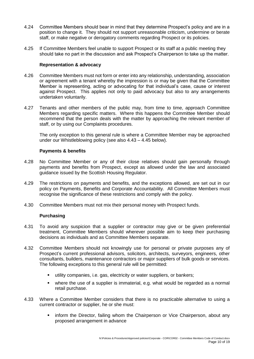- 4.24 Committee Members should bear in mind that they determine Prospect's policy and are in a position to change it. They should not support unreasonable criticism, undermine or berate staff, or make negative or derogatory comments regarding Prospect or its policies.
- 4.25 If Committee Members feel unable to support Prospect or its staff at a public meeting they should take no part in the discussion and ask Prospect's Chairperson to take up the matter.

#### **Representation & advocacy**

- 4.26 Committee Members must not form or enter into any relationship, understanding, association or agreement with a tenant whereby the impression is or may be given that the Committee Member is representing, acting or advocating for that individual's case, cause or interest against Prospect. This applies not only to paid advocacy but also to any arrangements undertaken voluntarily.
- 4.27 Tenants and other members of the public may, from time to time, approach Committee Members regarding specific matters. Where this happens the Committee Member should recommend that the person deals with the matter by approaching the relevant member of staff, or by using our Complaints procedures.

The only exception to this general rule is where a Committee Member may be approached under our Whistleblowing policy (see also 4.43 – 4.45 below).

#### **Payments & benefits**

- 4.28 No Committee Member or any of their close relatives should gain personally through payments and benefits from Prospect, except as allowed under the law and associated guidance issued by the Scottish Housing Regulator.
- 4.29 The restrictions on payments and benefits, and the exceptions allowed, are set out in our policy on Payments, Benefits and Corporate Accountability. All Committee Members must recognise the significance of these restrictions and comply with the policy.
- 4.30 Committee Members must not mix their personal money with Prospect funds.

#### **Purchasing**

- 4.31 To avoid any suspicion that a supplier or contractor may give or be given preferential treatment, Committee Members should wherever possible aim to keep their purchasing decisions as individuals and as Committee Members separate.
- 4.32 Committee Members should not knowingly use for personal or private purposes any of Prospect's current professional advisors, solicitors, architects, surveyors, engineers, other consultants, builders, maintenance contractors or major suppliers of bulk goods or services. The following exceptions to this general rule will be permitted:
	- utility companies, i.e. gas, electricity or water suppliers, or bankers;
	- where the use of a supplier is immaterial, e.g. what would be regarded as a normal retail purchase.
- 4.33 Where a Committee Member considers that there is no practicable alternative to using a current contractor or supplier, he or she must:
	- **•** inform the Director, failing whom the Chairperson or Vice Chairperson, about any proposed arrangement in advance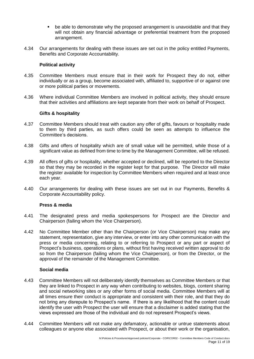- be able to demonstrate why the proposed arrangement is unavoidable and that they will not obtain any financial advantage or preferential treatment from the proposed arrangement.
- 4.34 Our arrangements for dealing with these issues are set out in the policy entitled Payments, Benefits and Corporate Accountability.

#### **Political activity**

- 4.35 Committee Members must ensure that in their work for Prospect they do not, either individually or as a group, become associated with, affiliated to, supportive of or against one or more political parties or movements.
- 4.36 Where individual Committee Members are involved in political activity, they should ensure that their activities and affiliations are kept separate from their work on behalf of Prospect.

## **Gifts & hospitality**

- 4.37 Committee Members should treat with caution any offer of gifts, favours or hospitality made to them by third parties, as such offers could be seen as attempts to influence the Committee's decisions.
- 4.38 Gifts and offers of hospitality which are of small value will be permitted, while those of a significant value as defined from time to time by the Management Committee, will be refused.
- 4.39 All offers of gifts or hospitality, whether accepted or declined, will be reported to the Director so that they may be recorded in the register kept for that purpose. The Director will make the register available for inspection by Committee Members when required and at least once each year.
- 4.40 Our arrangements for dealing with these issues are set out in our Payments, Benefits & Corporate Accountability policy.

#### **Press & media**

- 4.41 The designated press and media spokespersons for Prospect are the Director and Chairperson (failing whom the Vice Chairperson).
- 4.42 No Committee Member other than the Chairperson (or Vice Chairperson) may make any statement, representation, give any interview, or enter into any other communication with the press or media concerning, relating to or referring to Prospect or any part or aspect of Prospect's business, operations or plans, without first having received written approval to do so from the Chairperson (failing whom the Vice Chairperson), or from the Director, or the approval of the remainder of the Management Committee.

### **Social media**

- 4.43 Committee Members will not deliberately identify themselves as Committee Members or that they are linked to Prospect in any way when contributing to websites, blogs, content sharing and social networking sites or any other forms of social media. Committee Members will at all times ensure their conduct is appropriate and consistent with their role, and that they do not bring any disrepute to Prospect's name. If there is any likelihood that the content could identify the user with Prospect the user will ensure that a disclaimer is added stating that the views expressed are those of the individual and do not represent Prospect's views.
- 4.44 Committee Members will not make any defamatory, actionable or untrue statements about colleagues or anyone else associated with Prospect, or about their work or the organisation,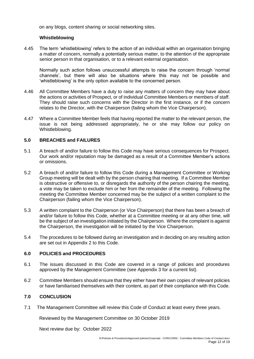on any blogs, content sharing or social networking sites.

#### **Whistleblowing**

4.45 The term 'whistleblowing' refers to the action of an individual within an organisation bringing a matter of concern, normally a potentially serious matter, to the attention of the appropriate senior person in that organisation, or to a relevant external organisation.

Normally such action follows unsuccessful attempts to raise the concern through 'normal channels', but there will also be situations where this may not be possible and 'whistleblowing' is the only option available to the concerned person.

- 4.46 All Committee Members have a duty to raise any matters of concern they may have about the actions or activities of Prospect, or of individual Committee Members or members of staff. They should raise such concerns with the Director in the first instance, or if the concern relates to the Director, with the Chairperson (failing whom the Vice Chairperson).
- 4.47 Where a Committee Member feels that having reported the matter to the relevant person, the issue is not being addressed appropriately, he or she may follow our policy on Whistleblowing.

#### **5.0 BREACHES and FAILURES**

- 5.1 A breach of and/or failure to follow this Code may have serious consequences for Prospect. Our work and/or reputation may be damaged as a result of a Committee Member's actions or omissions.
- 5.2 A breach of and/or failure to follow this Code during a Management Committee or Working Group meeting will be dealt with by the person chairing that meeting. If a Committee Member is obstructive or offensive to, or disregards the authority of the person chairing the meeting, a vote may be taken to exclude him or her from the remainder of the meeting. Following the meeting the Committee Member concerned may be the subject of a written complaint to the Chairperson (failing whom the Vice Chairperson).
- 5.3 A written complaint to the Chairperson (or Vice Chairperson) that there has been a breach of and/or failure to follow this Code, whether at a Committee meeting or at any other time, will be the subject of an investigation initiated by the Chairperson. Where the complaint is against the Chairperson, the investigation will be initiated by the Vice Chairperson.
- 5.4 The procedures to be followed during an investigation and in deciding on any resulting action are set out in Appendix 2 to this Code.

#### **6.0 POLICIES and PROCEDURES**

- 6.1 The issues discussed in this Code are covered in a range of policies and procedures approved by the Management Committee (see Appendix 3 for a current list).
- 6.2 Committee Members should ensure that they either have their own copies of relevant policies or have familiarised themselves with their content, as part of their compliance with this Code.

## **7.0 CONCLUSION**

7.1 The Management Committee will review this Code of Conduct at least every three years.

Reviewed by the Management Committee on 30 October 2019

Next review due by: October 2022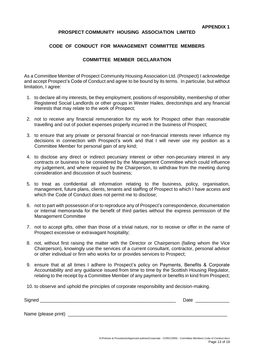## **PROSPECT COMMUNITY HOUSING ASSOCIATION LIMITED**

## **CODE OF CONDUCT FOR MANAGEMENT COMMITTEE MEMBERS**

## **COMMITTEE MEMBER DECLARATION**

As a Committee Member of Prospect Community Housing Association Ltd. (Prospect) I acknowledge and accept Prospect's Code of Conduct and agree to be bound by its terms. In particular, but without limitation, I agree:

- 1. to declare all my interests, be they employment, positions of responsibility, membership of other Registered Social Landlords or other groups in Wester Hailes, directorships and any financial interests that may relate to the work of Prospect;
- 2. not to receive any financial remuneration for my work for Prospect other than reasonable travelling and out of pocket expenses properly incurred in the business of Prospect;
- 3. to ensure that any private or personal financial or non-financial interests never influence my decisions in connection with Prospect's work and that I will never use my position as a Committee Member for personal gain of any kind;
- 4. to disclose any direct or indirect pecuniary interest or other non-pecuniary interest in any contracts or business to be considered by the Management Committee which could influence my judgement, and where required by the Chairperson, to withdraw from the meeting during consideration and discussion of such business;
- 5. to treat as confidential all information relating to the business, policy, organisation, management, future plans, clients, tenants and staffing of Prospect to which I have access and which the Code of Conduct does not permit me to disclose;
- 6. not to part with possession of or to reproduce any of Prospect's correspondence, documentation or internal memoranda for the benefit of third parties without the express permission of the Management Committee
- 7. not to accept gifts, other than those of a trivial nature, nor to receive or offer in the name of Prospect excessive or extravagant hospitality;
- 8. not, without first raising the matter with the Director or Chairperson (failing whom the Vice Chairperson), knowingly use the services of a current consultant, contractor, personal advisor or other individual or firm who works for or provides services to Prospect;
- 9. ensure that at all times I adhere to Prospect's policy on Payments, Benefits & Corporate Accountability and any guidance issued from time to time by the Scottish Housing Regulator, relating to the receipt by a Committee Member of any payment or benefits in kind from Prospect;
- 10. to observe and uphold the principles of corporate responsibility and decision-making.

| Signed              | Date |
|---------------------|------|
|                     |      |
| Name (please print) |      |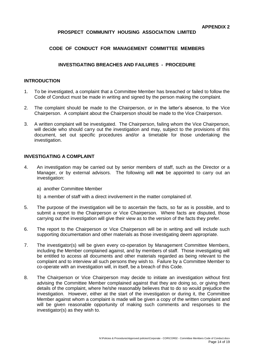## **PROSPECT COMMUNITY HOUSING ASSOCIATION LIMITED**

## **CODE OF CONDUCT FOR MANAGEMENT COMMITTEE MEMBERS**

## **INVESTIGATING BREACHES AND FAILURES - PROCEDURE**

## **INTRODUCTION**

- 1. To be investigated, a complaint that a Committee Member has breached or failed to follow the Code of Conduct must be made in writing and signed by the person making the complaint.
- 2. The complaint should be made to the Chairperson, or in the latter's absence, to the Vice Chairperson. A complaint about the Chairperson should be made to the Vice Chairperson.
- 3. A written complaint will be investigated. The Chairperson, failing whom the Vice Chairperson, will decide who should carry out the investigation and may, subject to the provisions of this document, set out specific procedures and/or a timetable for those undertaking the investigation.

#### **INVESTIGATING A COMPLAINT**

- 4. An investigation may be carried out by senior members of staff, such as the Director or a Manager, or by external advisors. The following will **not** be appointed to carry out an investigation:
	- a) another Committee Member
	- b) a member of staff with a direct involvement in the matter complained of.
- 5. The purpose of the investigation will be to ascertain the facts, so far as is possible, and to submit a report to the Chairperson or Vice Chairperson. Where facts are disputed, those carrying out the investigation will give their view as to the version of the facts they prefer.
- 6. The report to the Chairperson or Vice Chairperson will be in writing and will include such supporting documentation and other materials as those investigating deem appropriate.
- 7. The investigator(s) will be given every co-operation by Management Committee Members, including the Member complained against, and by members of staff. Those investigating will be entitled to access all documents and other materials regarded as being relevant to the complaint and to interview all such persons they wish to. Failure by a Committee Member to co-operate with an investigation will, in itself, be a breach of this Code.
- 8. The Chairperson or Vice Chairperson may decide to initiate an investigation without first advising the Committee Member complained against that they are doing so, or giving them details of the complaint, where he/she reasonably believes that to do so would prejudice the investigation. However, either at the start of the investigation or during it, the Committee Member against whom a complaint is made will be given a copy of the written complaint and will be given reasonable opportunity of making such comments and responses to the investigator(s) as they wish to.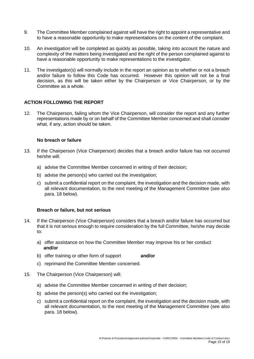- 9. The Committee Member complained against will have the right to appoint a representative and to have a reasonable opportunity to make representations on the content of the complaint.
- 10. An investigation will be completed as quickly as possible, taking into account the nature and complexity of the matters being investigated and the right of the person complained against to have a reasonable opportunity to make representations to the investigator.
- 11. The investigator(s) will normally include in the report an opinion as to whether or not a breach and/or failure to follow this Code has occurred. However this opinion will not be a final decision, as this will be taken either by the Chairperson or Vice Chairperson, or by the Committee as a whole.

## **ACTION FOLLOWING THE REPORT**

12. The Chairperson, failing whom the Vice Chairperson, will consider the report and any further representations made by or on behalf of the Committee Member concerned and shall consider what, if any, action should be taken.

#### **No breach or failure**

- 13. If the Chairperson (Vice Chairperson) decides that a breach and/or failure has not occurred he/she will:
	- a) advise the Committee Member concerned in writing of their decision;
	- b) advise the person(s) who carried out the investigation;
	- c) submit a confidential report on the complaint, the investigation and the decision made, with all relevant documentation, to the next meeting of the Management Committee (see also para. 18 below).

#### **Breach or failure, but not serious**

- 14. If the Chairperson (Vice Chairperson) considers that a breach and/or failure has occurred but that it is not serious enough to require consideration by the full Committee, he/she may decide to:
	- a) offer assistance on how the Committee Member may improve his or her conduct **and/or**
	- b) offer training or other form of support **and/or**
	- c) reprimand the Committee Member concerned.
- 15. The Chairperson (Vice Chairperson) will:
	- a) advise the Committee Member concerned in writing of their decision;
	- b) advise the person(s) who carried out the investigation;
	- c) submit a confidential report on the complaint, the investigation and the decision made, with all relevant documentation, to the next meeting of the Management Committee (see also para. 18 below).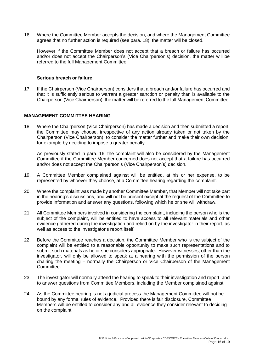16. Where the Committee Member accepts the decision, and where the Management Committee agrees that no further action is required (see para. 18), the matter will be closed.

However if the Committee Member does not accept that a breach or failure has occurred and/or does not accept the Chairperson's (Vice Chairperson's) decision, the matter will be referred to the full Management Committee.

#### **Serious breach or failure**

17. If the Chairperson (Vice Chairperson) considers that a breach and/or failure has occurred and that it is sufficiently serious to warrant a greater sanction or penalty than is available to the Chairperson (Vice Chairperson), the matter will be referred to the full Management Committee.

#### **MANAGEMENT COMMITTEE HEARING**

18. Where the Chairperson (Vice Chairperson) has made a decision and then submitted a report, the Committee may choose, irrespective of any action already taken or not taken by the Chairperson (Vice Chairperson), to consider the matter further and make their own decision, for example by deciding to impose a greater penalty.

As previously stated in para. 16, the complaint will also be considered by the Management Committee if the Committee Member concerned does not accept that a failure has occurred and/or does not accept the Chairperson's (Vice Chairperson's) decision.

- 19. A Committee Member complained against will be entitled, at his or her expense, to be represented by whoever they choose, at a Committee hearing regarding the complaint.
- 20. Where the complaint was made by another Committee Member, that Member will not take part in the hearing's discussions, and will not be present except at the request of the Committee to provide information and answer any questions, following which he or she will withdraw.
- 21. All Committee Members involved in considering the complaint, including the person who is the subject of the complaint, will be entitled to have access to all relevant materials and other evidence gathered during the investigation and relied on by the investigator in their report, as well as access to the investigator's report itself.
- 22. Before the Committee reaches a decision, the Committee Member who is the subject of the complaint will be entitled to a reasonable opportunity to make such representations and to submit such materials as he or she considers appropriate. However witnesses, other than the investigator, will only be allowed to speak at a hearing with the permission of the person chairing the meeting – normally the Chairperson or Vice Chairperson of the Management Committee.
- 23. The investigator will normally attend the hearing to speak to their investigation and report, and to answer questions from Committee Members, including the Member complained against.
- 24. As the Committee hearing is not a judicial process the Management Committee will not be bound by any formal rules of evidence. Provided there is fair disclosure, Committee Members will be entitled to consider any and all evidence they consider relevant to deciding on the complaint.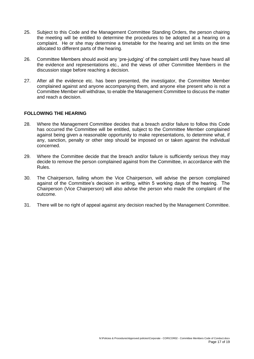- 25. Subject to this Code and the Management Committee Standing Orders, the person chairing the meeting will be entitled to determine the procedures to be adopted at a hearing on a complaint. He or she may determine a timetable for the hearing and set limits on the time allocated to different parts of the hearing.
- 26. Committee Members should avoid any 'pre-judging' of the complaint until they have heard all the evidence and representations etc., and the views of other Committee Members in the discussion stage before reaching a decision.
- 27. After all the evidence etc. has been presented, the investigator, the Committee Member complained against and anyone accompanying them, and anyone else present who is not a Committee Member will withdraw, to enable the Management Committee to discuss the matter and reach a decision.

#### **FOLLOWING THE HEARING**

- 28. Where the Management Committee decides that a breach and/or failure to follow this Code has occurred the Committee will be entitled, subject to the Committee Member complained against being given a reasonable opportunity to make representations, to determine what, if any, sanction, penalty or other step should be imposed on or taken against the individual concerned.
- 29. Where the Committee decide that the breach and/or failure is sufficiently serious they may decide to remove the person complained against from the Committee, in accordance with the Rules.
- 30. The Chairperson, failing whom the Vice Chairperson, will advise the person complained against of the Committee's decision in writing, within 5 working days of the hearing. The Chairperson (Vice Chairperson) will also advise the person who made the complaint of the outcome.
- 31. There will be no right of appeal against any decision reached by the Management Committee.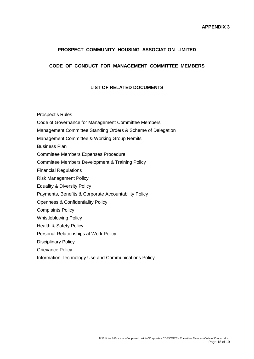## **PROSPECT COMMUNITY HOUSING ASSOCIATION LIMITED**

## **CODE OF CONDUCT FOR MANAGEMENT COMMITTEE MEMBERS**

## **LIST OF RELATED DOCUMENTS**

Prospect's Rules

- Code of Governance for Management Committee Members
- Management Committee Standing Orders & Scheme of Delegation
- Management Committee & Working Group Remits

Business Plan

- Committee Members Expenses Procedure
- Committee Members Development & Training Policy
- Financial Regulations
- Risk Management Policy
- Equality & Diversity Policy
- Payments, Benefits & Corporate Accountability Policy
- Openness & Confidentiality Policy
- Complaints Policy
- Whistleblowing Policy
- Health & Safety Policy
- Personal Relationships at Work Policy
- Disciplinary Policy
- Grievance Policy
- Information Technology Use and Communications Policy